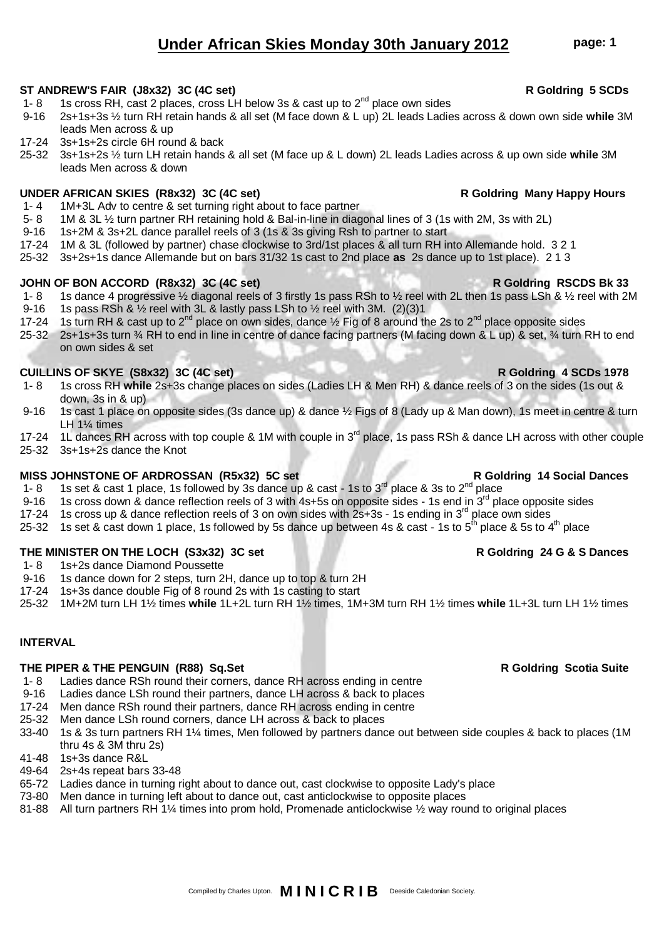# **THE PIPER & THE PENGUIN (R88) Sq.Set R Goldring Scotia Suite**

### 1- 8 Ladies dance RSh round their corners, dance RH across ending in centre

- 9-16 Ladies dance LSh round their partners, dance LH across & back to places
- 17-24 Men dance RSh round their partners, dance RH across ending in centre
- 25-32 Men dance LSh round corners, dance LH across & back to places
- 33-40 1s & 3s turn partners RH 1¼ times, Men followed by partners dance out between side couples & back to places (1M thru 4s & 3M thru 2s)
- 41-48 1s+3s dance R&L
- 49-64 2s+4s repeat bars 33-48
- 65-72 Ladies dance in turning right about to dance out, cast clockwise to opposite Lady's place
- 73-80 Men dance in turning left about to dance out, cast anticlockwise to opposite places
- 81-88 All turn partners RH 1¼ times into prom hold, Promenade anticlockwise 1/2 way round to original places

# **Under African Skies Monday 30th January 2012 page: 1**

## **ST ANDREW'S FAIR (J8x32) 3C (4C set) R Goldring 5 SCDs**

- 1- 8 1s cross RH, cast 2 places, cross LH below 3s & cast up to  $2^{nd}$  place own sides
- 9-16 2s+1s+3s ½ turn RH retain hands & all set (M face down & L up) 2L leads Ladies across & down own side **while** 3M leads Men across & up
- 17-24 3s+1s+2s circle 6H round & back
- 25-32 3s+1s+2s ½ turn LH retain hands & all set (M face up & L down) 2L leads Ladies across & up own side **while** 3M leads Men across & down

# UNDER AFRICAN SKIES (R8x32) 3C (4C set) **Research Article States and Article States Article States Article States Article States Article States Article States Article States Article States Article States Article States Art**

- 1- 4 1M+3L Adv to centre & set turning right about to face partner
- 5- 8 1M & 3L ½ turn partner RH retaining hold & Bal-in-line in diagonal lines of 3 (1s with 2M, 3s with 2L)
- 9-16 1s+2M & 3s+2L dance parallel reels of 3 (1s & 3s giving Rsh to partner to start
- 17-24 1M & 3L (followed by partner) chase clockwise to 3rd/1st places & all turn RH into Allemande hold. 3 2 1
- 25-32 3s+2s+1s dance Allemande but on bars 31/32 1s cast to 2nd place **as** 2s dance up to 1st place). 2 1 3

### **JOHN OF BON ACCORD (R8x32) 3C (4C set) R Goldring RSCDS Bk 33**

- 1- 8 1s dance 4 progressive 1/2 diagonal reels of 3 firstly 1s pass RSh to 1/2 reel with 2L then 1s pass LSh & 1/2 reel with 2M
- 9-16 1s pass RSh &  $\frac{1}{2}$  reel with 3L & lastly pass LSh to  $\frac{1}{2}$  reel with 3M. (2)(3)1
- 17-24 1s turn RH & cast up to 2<sup>nd</sup> place on own sides, dance  $\frac{1}{2}$  Fig of 8 around the 2s to 2<sup>nd</sup> place opposite sides
- 25-32 2s+1s+3s turn ¾ RH to end in line in centre of dance facing partners (M facing down & L up) & set, ¾ turn RH to end on own sides & set

### **CUILLINS OF SKYE (S8x32) 3C (4C set) R Goldring 4 SCDs 1978**

- 1- 8 1s cross RH **while** 2s+3s change places on sides (Ladies LH & Men RH) & dance reels of 3 on the sides (1s out & down, 3s in & up)
- 9-16 1s cast 1 place on opposite sides (3s dance up) & dance  $\frac{1}{2}$  Figs of 8 (Lady up & Man down), 1s meet in centre & turn LH 1¼ times
- 17-24 1L dances RH across with top couple & 1M with couple in 3<sup>rd</sup> place, 1s pass RSh & dance LH across with other couple
- 25-32 3s+1s+2s dance the Knot

### **MISS JOHNSTONE OF ARDROSSAN (R5x32) 5C set R Goldring 14 Social Dances**

- 1- 8 1s set & cast 1 place, 1s followed by 3s dance up & cast 1s to  $3<sup>rd</sup>$  place & 3s to  $2<sup>nd</sup>$  place
- 9-16 1s cross down & dance reflection reels of 3 with 4s+5s on opposite sides 1s end in 3<sup>rd</sup> place opposite sides
- 17-24 1s cross up & dance reflection reels of 3 on own sides with  $2s+3s$  1s ending in  $3<sup>rd</sup>$  place own sides
- 25-32 1s set & cast down 1 place, 1s followed by 5s dance up between 4s & cast 1s to 5<sup>th</sup> place & 5s to 4<sup>th</sup> place

## **THE MINISTER ON THE LOCH (S3x32) 3C set R Goldring 24 G & S Dances**

- 1- 8 1s+2s dance Diamond Poussette
- 9-16 1s dance down for 2 steps, turn 2H, dance up to top & turn 2H
- 17-24 1s+3s dance double Fig of 8 round 2s with 1s casting to start
- 25-32 1M+2M turn LH 1½ times **while** 1L+2L turn RH 1½ times, 1M+3M turn RH 1½ times **while** 1L+3L turn LH 1½ times

### **INTERVAL**